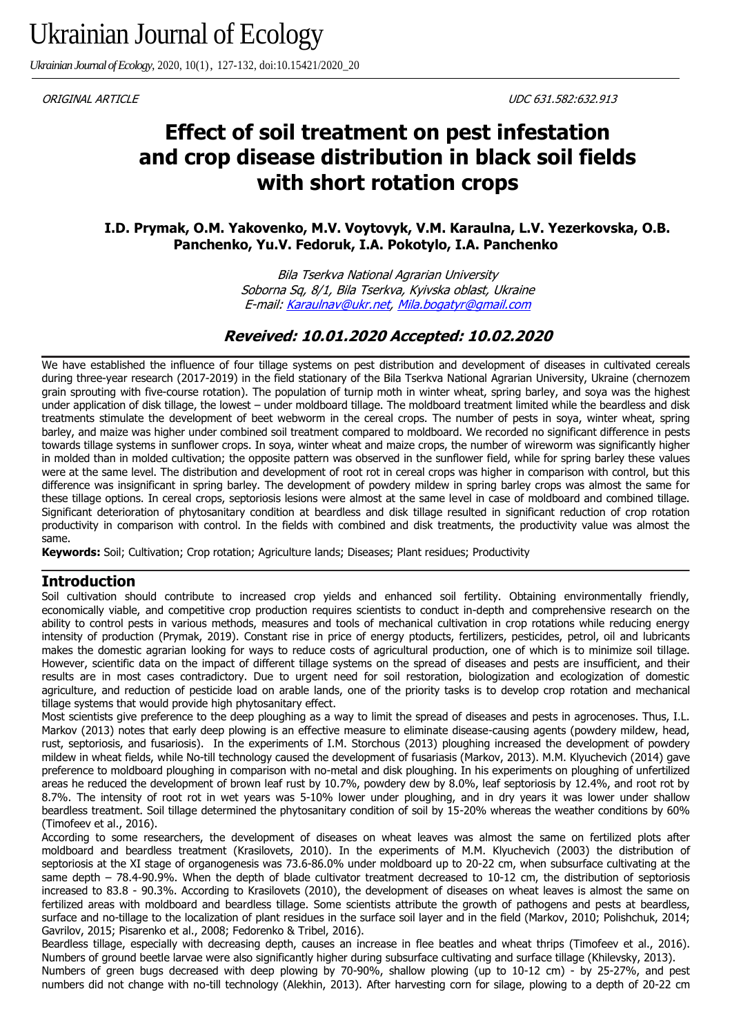*Ukrainian Journal of Ecology,* 2020, 10(1), 127-132, doi:10.15421/2020\_20

ORIGINAL ARTICLE UDC 631.582:632.913

# **Effect of soil treatment on pest infestation and crop disease distribution in black soil fields with short rotation crops**

**I.D. Prymak, O.M. Yakovenko, M.V. Voytovyk, V.M. Karaulna, L.V. Yezerkovska, O.B. Panchenko, Yu.V. Fedoruk, I.A. Pokotylo, I.A. Panchenko** 

> Bila Tserkva National Agrarian University Soborna Sq, 8/1, Bila Tserkva, Kyivska oblast, Ukraine E-mail: [Karaulnav@ukr.net,](file:///C:/Users/karin/Desktop/Karaulnav@ukr.net) [Mila.bogatyr@gmail.com](file:///C:/Users/karin/Desktop/Mila.bogatyr@gmail.com)

#### **Reveived: 10.01.2020 Accepted: 10.02.2020**

We have established the influence of four tillage systems on pest distribution and development of diseases in cultivated cereals during three-year research (2017-2019) in the field stationary of the Bila Tserkva National Agrarian University, Ukraine (chernozem grain sprouting with five-course rotation). The population of turnip moth in winter wheat, spring barley, and soya was the highest under application of disk tillage, the lowest – under moldboard tillage. The moldboard treatment limited while the beardless and disk treatments stimulate the development of beet webworm in the cereal crops. The number of pests in soya, winter wheat, spring barley, and maize was higher under combined soil treatment compared to moldboard. We recorded no significant difference in pests towards tillage systems in sunflower crops. In soya, winter wheat and maize crops, the number of wireworm was significantly higher in molded than in molded cultivation; the opposite pattern was observed in the sunflower field, while for spring barley these values were at the same level. The distribution and development of root rot in cereal crops was higher in comparison with control, but this difference was insignificant in spring barley. The development of powdery mildew in spring barley crops was almost the same for these tillage options. In cereal crops, septoriosis lesions were almost at the same level in case of moldboard and combined tillage. Significant deterioration of phytosanitary condition at beardless and disk tillage resulted in significant reduction of crop rotation productivity in comparison with control. In the fields with combined and disk treatments, the productivity value was almost the same.

**Keywords:** Soil; Cultivation; Crop rotation; Agriculture lands; Diseases; Plant residues; Productivity

#### **Introduction**

Soil cultivation should contribute to increased crop yields and enhanced soil fertility. Obtaining environmentally friendly, economically viable, and competitive crop production requires scientists to conduct in-depth and comprehensive research on the ability to control pests in various methods, measures and tools of mechanical cultivation in crop rotations while reducing energy intensity of production (Prymak, 2019). Constant rise in price of energy ptoducts, fertilizers, pesticides, petrol, oil and lubricants makes the domestic agrarian looking for ways to reduce costs of agricultural production, one of which is to minimize soil tillage. However, scientific data on the impact of different tillage systems on the spread of diseases and pests are insufficient, and their results are in most cases contradictory. Due to urgent need for soil restoration, biologization and ecologization of domestic agriculture, and reduction of pesticide load on arable lands, one of the priority tasks is to develop crop rotation and mechanical tillage systems that would provide high phytosanitary effect.

Most scientists give preference to the deep ploughing as a way to limit the spread of diseases and pests in agrocenoses. Thus, I.L. Markov (2013) notes that early deep plowing is an effective measure to eliminate disease-causing agents (powdery mildew, head, rust, septoriosis, and fusariosis). In the experiments of I.M. Storchous (2013) ploughing increased the development of powdery mildew in wheat fields, while No-till technology caused the development of fusariasis (Markov, 2013). M.M. Klyuchevich (2014) gave preference to moldboard ploughing in comparison with no-metal and disk ploughing. In his experiments on ploughing of unfertilized areas he reduced the development of brown leaf rust by 10.7%, powdery dew by 8.0%, leaf septoriosis by 12.4%, and root rot by 8.7%. The intensity of root rot in wet years was 5-10% lower under ploughing, and in dry years it was lower under shallow beardless treatment. Soil tillage determined the phytosanitary condition of soil by 15-20% whereas the weather conditions by 60% (Timofeev et al., 2016).

According to some researchers, the development of diseases on wheat leaves was almost the same on fertilized plots after moldboard and beardless treatment (Krasilovets, 2010). In the experiments of M.M. Klyuchevich (2003) the distribution of septoriosis at the XI stage of organogenesis was 73.6-86.0% under moldboard up to 20-22 cm, when subsurface cultivating at the same depth – 78.4-90.9%. When the depth of blade cultivator treatment decreased to 10-12 cm, the distribution of septoriosis increased to 83.8 - 90.3%. According to Krasilovets (2010), the development of diseases on wheat leaves is almost the same on fertilized areas with moldboard and beardless tillage. Some scientists attribute the growth of pathogens and pests at beardless, surface and no-tillage to the localization of plant residues in the surface soil layer and in the field (Markov, 2010; Polishchuk, 2014; Gavrilov, 2015; Pisarenko et al., 2008; Fedorenko & Tribel, 2016).

Beardless tillage, especially with decreasing depth, causes an increase in flee beatles and wheat thrips (Timofeev et al., 2016). Numbers of ground beetle larvae were also significantly higher during subsurface cultivating and surface tillage (Khilevsky, 2013). Numbers of green bugs decreased with deep plowing by 70-90%, shallow plowing (up to 10-12 cm) - by 25-27%, and pest

numbers did not change with no-till technology (Alekhin, 2013). After harvesting corn for silage, plowing to a depth of 20-22 cm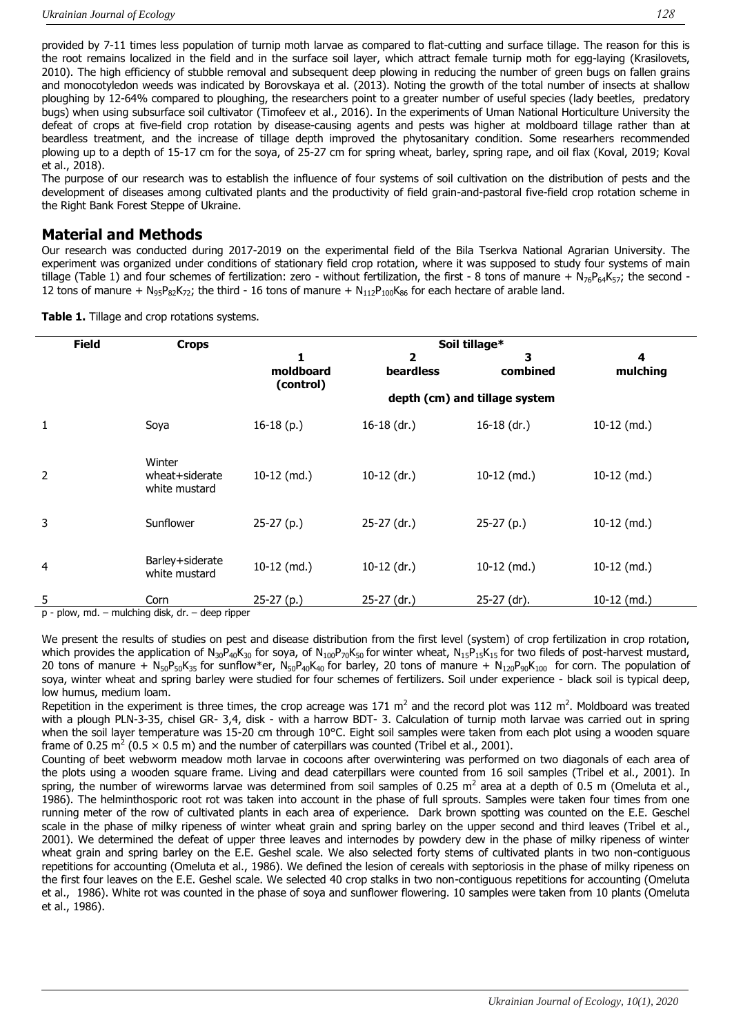provided by 7-11 times less population of turnip moth larvae as compared to flat-cutting and surface tillage. The reason for this is the root remains localized in the field and in the surface soil layer, which attract female turnip moth for egg-laying (Krasilovets, 2010). The high efficiency of stubble removal and subsequent deep plowing in reducing the number of green bugs on fallen grains and monocotyledon weeds was indicated by Borovskaya et al. (2013). Noting the growth of the total number of insects at shallow ploughing by 12-64% compared to ploughing, the researchers point to a greater number of useful species (lady beetles, predatory bugs) when using subsurface soil cultivator (Timofeev et al., 2016). In the experiments of Uman National Horticulture University the defeat of crops at five-field crop rotation by disease-causing agents and pests was higher at moldboard tillage rather than at beardless treatment, and the increase of tillage depth improved the phytosanitary condition. Some researhers recommended plowing up to a depth of 15-17 cm for the soya, of 25-27 cm for spring wheat, barley, spring rape, and oil flax (Koval, 2019; Koval et al., 2018).

The purpose of our research was to establish the influence of four systems of soil cultivation on the distribution of pests and the development of diseases among cultivated plants and the productivity of field grain-and-pastoral five-field crop rotation scheme in the Right Bank Forest Steppe of Ukraine.

#### **Material and Methods**

Our research was conducted during 2017-2019 on the experimental field of the Bila Tserkva National Agrarian University. The experiment was organized under conditions of stationary field crop rotation, where it was supposed to study four systems of main tillage (Table 1) and four schemes of fertilization: zero - without fertilization, the first - 8 tons of manure +  $N_{76}P_{64}K_{57}$ ; the second -12 tons of manure +  $N_{95}P_{82}K_{72}$ ; the third - 16 tons of manure +  $N_{112}P_{100}K_{86}$  for each hectare of arable land.

|                | <b>Field</b> | <b>Crops</b>                              | Soil tillage*          |                               |               |               |
|----------------|--------------|-------------------------------------------|------------------------|-------------------------------|---------------|---------------|
|                |              |                                           | 1                      | $\overline{\mathbf{2}}$       | з             | 4             |
|                |              |                                           | moldboard<br>(control) | <b>beardless</b>              | combined      | mulching      |
|                |              |                                           |                        | depth (cm) and tillage system |               |               |
| 1              |              | Soya                                      | $16-18(p.)$            | $16-18$ (dr.)                 | $16-18$ (dr.) | $10-12$ (md.) |
| $\overline{2}$ |              | Winter<br>wheat+siderate<br>white mustard | $10-12$ (md.)          | $10-12$ (dr.)                 | $10-12$ (md.) | $10-12$ (md.) |
| 3              |              | Sunflower                                 | $25-27(p.)$            | 25-27 (dr.)                   | $25-27(p.)$   | $10-12$ (md.) |
| $\overline{4}$ |              | Barley+siderate<br>white mustard          | 10-12 (md.)            | $10-12$ (dr.)                 | $10-12$ (md.) | $10-12$ (md.) |
| 5              | .            | Corn<br>$\cdots$                          | 25-27 (p.)             | 25-27 (dr.)                   | 25-27 (dr).   | $10-12$ (md.) |

**Table 1.** Tillage and crop rotations systems.

p - plow, md. – mulching disk, dr. – deep ripper

We present the results of studies on pest and disease distribution from the first level (system) of crop fertilization in crop rotation, which provides the application of N<sub>30</sub>P<sub>40</sub>K<sub>30</sub> for soya, of N<sub>100</sub>P<sub>70</sub>K<sub>50</sub> for winter wheat, N<sub>15</sub>P<sub>15</sub>K<sub>15</sub> for two fileds of post-harvest mustard, 20 tons of manure +  $N_{50}P_{50}K_{35}$  for sunflow\*er,  $N_{50}P_{40}K_{40}$  for barley, 20 tons of manure +  $N_{120}P_{90}K_{100}$  for corn. The population of soya, winter wheat and spring barley were studied for four schemes of fertilizers. Soil under experience - black soil is typical deep, low humus, medium loam.

Repetition in the experiment is three times, the crop acreage was 171  $m^2$  and the record plot was 112  $m^2$ . Moldboard was treated with a plough PLN-3-35, chisel GR- 3,4, disk - with a harrow BDT- 3. Calculation of turnip moth larvae was carried out in spring when the soil layer temperature was 15-20 cm through 10°C. Eight soil samples were taken from each plot using a wooden square frame of 0.25 m<sup>2</sup> (0.5  $\times$  0.5 m) and the number of caterpillars was counted (Tribel et al., 2001).

Counting of beet webworm meadow moth larvae in cocoons after overwintering was performed on two diagonals of each area of the plots using a wooden square frame. Living and dead caterpillars were counted from 16 soil samples (Tribel et al., 2001). In spring, the number of wireworms larvae was determined from soil samples of 0.25  $m^2$  area at a depth of 0.5 m (Omeluta et al., 1986). The helminthosporic root rot was taken into account in the phase of full sprouts. Samples were taken four times from one running meter of the row of cultivated plants in each area of experience. Dark brown spotting was counted on the E.E. Geschel scale in the phase of milky ripeness of winter wheat grain and spring barley on the upper second and third leaves (Tribel et al., 2001). We determined the defeat of upper three leaves and internodes by powdery dew in the phase of milky ripeness of winter wheat grain and spring barley on the E.E. Geshel scale. We also selected forty stems of cultivated plants in two non-contiguous repetitions for accounting (Omeluta et al., 1986). We defined the lesion of cereals with septoriosis in the phase of milky ripeness on the first four leaves on the E.E. Geshel scale. We selected 40 crop stalks in two non-contiguous repetitions for accounting (Omeluta et al., 1986). White rot was counted in the phase of soya and sunflower flowering. 10 samples were taken from 10 plants (Omeluta et al., 1986).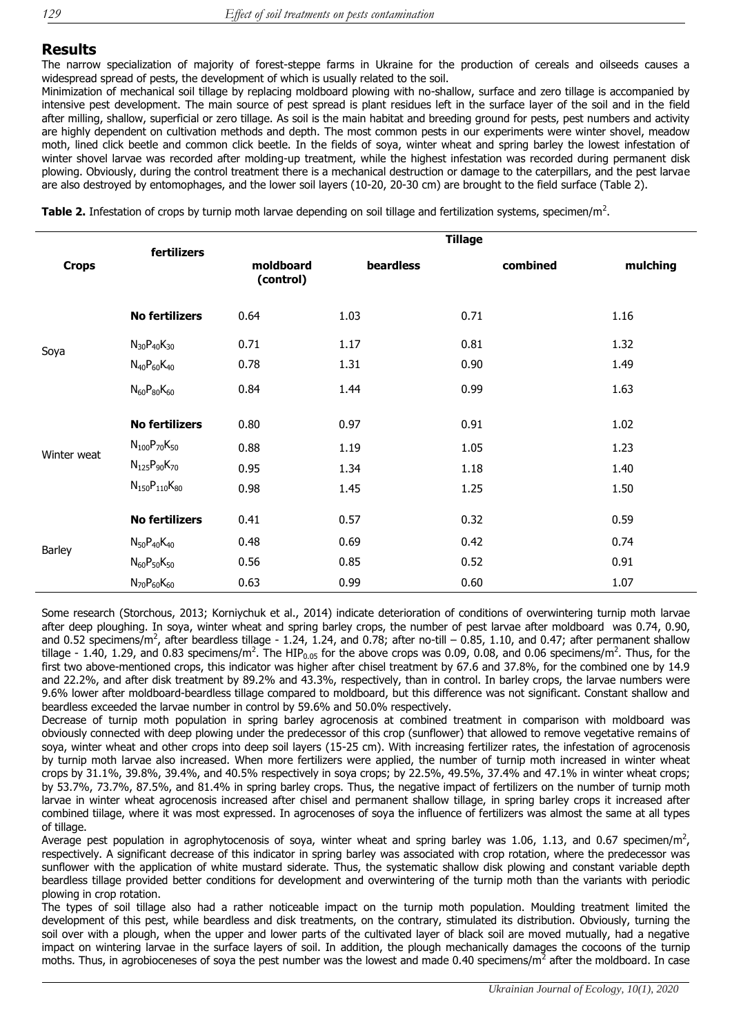### **Results**

The narrow specialization of majority of forest-steppe farms in Ukraine for the production of cereals and oilseeds causes a widespread spread of pests, the development of which is usually related to the soil.

Minimization of mechanical soil tillage by replacing moldboard plowing with no-shallow, surface and zero tillage is accompanied by intensive pest development. The main source of pest spread is plant residues left in the surface layer of the soil and in the field after milling, shallow, superficial or zero tillage. As soil is the main habitat and breeding ground for pests, pest numbers and activity are highly dependent on cultivation methods and depth. The most common pests in our experiments were winter shovel, meadow moth, lined click beetle and common click beetle. In the fields of soya, winter wheat and spring barley the lowest infestation of winter shovel larvae was recorded after molding-up treatment, while the highest infestation was recorded during permanent disk plowing. Obviously, during the control treatment there is a mechanical destruction or damage to the caterpillars, and the pest larvae are also destroyed by entomophages, and the lower soil layers (10-20, 20-30 cm) are brought to the field surface (Table 2).

Table 2. Infestation of crops by turnip moth larvae depending on soil tillage and fertilization systems, specimen/m<sup>2</sup>.

|               | fertilizers            | <b>Tillage</b>         |           |          |          |  |
|---------------|------------------------|------------------------|-----------|----------|----------|--|
| <b>Crops</b>  |                        | moldboard<br>(control) | beardless | combined | mulching |  |
|               | <b>No fertilizers</b>  | 0.64                   | 1.03      | 0.71     | 1.16     |  |
| Soya          | $N_{30}P_{40}K_{30}$   | 0.71                   | 1.17      | 0.81     | 1.32     |  |
|               | $N_{40}P_{60}K_{40}$   | 0.78                   | 1.31      | 0.90     | 1.49     |  |
|               | $N_{60}P_{80}K_{60}$   | 0.84                   | 1.44      | 0.99     | 1.63     |  |
|               | <b>No fertilizers</b>  | 0.80                   | 0.97      | 0.91     | 1.02     |  |
| Winter weat   | $N_{100}P_{70}K_{50}$  | 0.88                   | 1.19      | 1.05     | 1.23     |  |
|               | $N_{125}P_{90}K_{70}$  | 0.95                   | 1.34      | 1.18     | 1.40     |  |
|               | $N_{150}P_{110}K_{80}$ | 0.98                   | 1.45      | 1.25     | 1.50     |  |
|               | <b>No fertilizers</b>  | 0.41                   | 0.57      | 0.32     | 0.59     |  |
| <b>Barley</b> | $N_{50}P_{40}K_{40}$   | 0.48                   | 0.69      | 0.42     | 0.74     |  |
|               | $N_{60}P_{50}K_{50}$   | 0.56                   | 0.85      | 0.52     | 0.91     |  |
|               | $N_{70}P_{60}K_{60}$   | 0.63                   | 0.99      | 0.60     | 1.07     |  |

Some research (Storchous, 2013; Korniychuk et al., 2014) indicate deterioration of conditions of overwintering turnip moth larvae after deep ploughing. In soya, winter wheat and spring barley crops, the number of pest larvae after moldboard was 0.74, 0.90, and 0.52 specimens/m<sup>2</sup>, after beardless tillage - 1.24, 1.24, and 0.78; after no-till – 0.85, 1.10, and 0.47; after permanent shallow tillage - 1.40, 1.29, and 0.83 specimens/m<sup>2</sup>. The HIP<sub>0.05</sub> for the above crops was 0.09, 0.08, and 0.06 specimens/m<sup>2</sup>. Thus, for the first two above-mentioned crops, this indicator was higher after chisel treatment by 67.6 and 37.8%, for the combined one by 14.9 and 22.2%, and after disk treatment by 89.2% and 43.3%, respectively, than in control. In barley crops, the larvae numbers were 9.6% lower after moldboard-beardless tillage compared to moldboard, but this difference was not significant. Constant shallow and beardless exceeded the larvae number in control by 59.6% and 50.0% respectively.

Decrease of turnip moth population in spring barley agrocenosis at combined treatment in comparison with moldboard was obviously connected with deep plowing under the predecessor of this crop (sunflower) that allowed to remove vegetative remains of soya, winter wheat and other crops into deep soil layers (15-25 cm). With increasing fertilizer rates, the infestation of agrocenosis by turnip moth larvae also increased. When more fertilizers were applied, the number of turnip moth increased in winter wheat crops by 31.1%, 39.8%, 39.4%, and 40.5% respectively in soya crops; by 22.5%, 49.5%, 37.4% and 47.1% in winter wheat crops; by 53.7%, 73.7%, 87.5%, and 81.4% in spring barley crops. Thus, the negative impact of fertilizers on the number of turnip moth larvae in winter wheat agrocenosis increased after chisel and permanent shallow tillage, in spring barley crops it increased after combined tiilage, where it was most expressed. In agrocenoses of soya the influence of fertilizers was almost the same at all types of tillage.

Average pest population in agrophytocenosis of soya, winter wheat and spring barley was 1.06, 1.13, and 0.67 specimen/m<sup>2</sup>, respectively. A significant decrease of this indicator in spring barley was associated with crop rotation, where the predecessor was sunflower with the application of white mustard siderate. Thus, the systematic shallow disk plowing and constant variable depth beardless tillage provided better conditions for development and overwintering of the turnip moth than the variants with periodic plowing in crop rotation.

The types of soil tillage also had a rather noticeable impact on the turnip moth population. Moulding treatment limited the development of this pest, while beardless and disk treatments, on the contrary, stimulated its distribution. Obviously, turning the soil over with a plough, when the upper and lower parts of the cultivated layer of black soil are moved mutually, had a negative impact on wintering larvae in the surface layers of soil. In addition, the plough mechanically damages the cocoons of the turnip moths. Thus, in agrobioceneses of soya the pest number was the lowest and made 0.40 specimens/m<sup>2</sup> after the moldboard. In case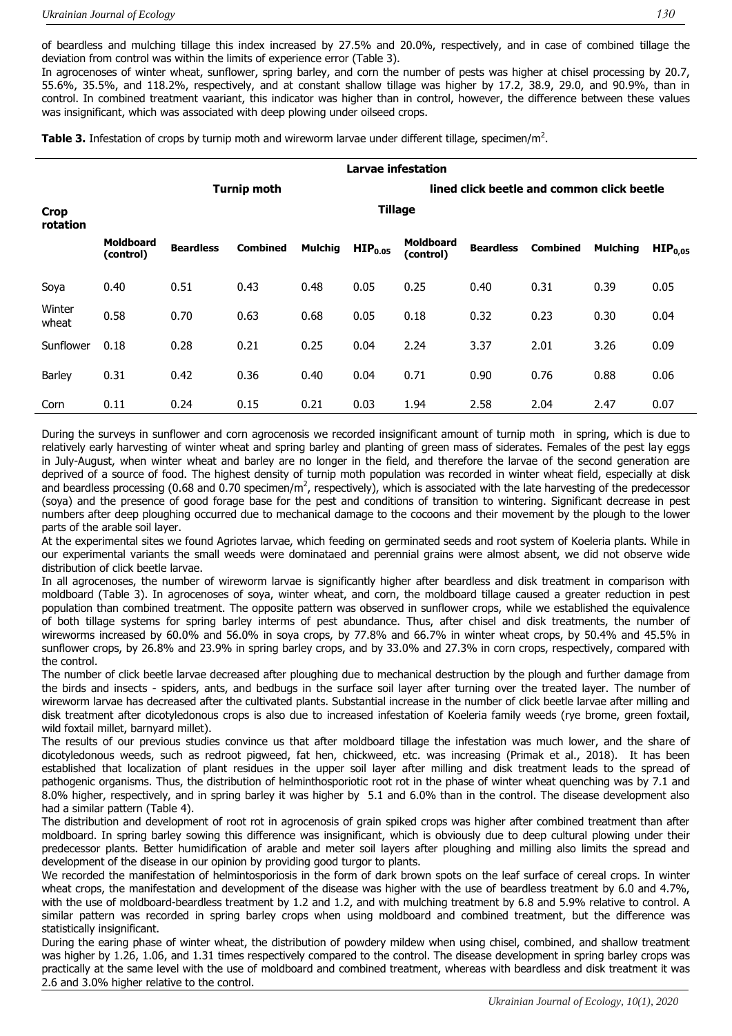of beardless and mulching tillage this index increased by 27.5% and 20.0%, respectively, and in case of combined tillage the deviation from control was within the limits of experience error (Table 3).

In agrocenoses of winter wheat, sunflower, spring barley, and corn the number of pests was higher at chisel processing by 20.7, 55.6%, 35.5%, and 118.2%, respectively, and at constant shallow tillage was higher by 17.2, 38.9, 29.0, and 90.9%, than in control. In combined treatment vaariant, this indicator was higher than in control, however, the difference between these values was insignificant, which was associated with deep plowing under oilseed crops.

Table 3. Infestation of crops by turnip moth and wireworm larvae under different tillage, specimen/m<sup>2</sup>.

|                         | <b>Larvae infestation</b>     |                  |                 |                |                     |                               |                  |                                            |                 |                     |
|-------------------------|-------------------------------|------------------|-----------------|----------------|---------------------|-------------------------------|------------------|--------------------------------------------|-----------------|---------------------|
| <b>Turnip moth</b>      |                               |                  |                 |                |                     |                               |                  | lined click beetle and common click beetle |                 |                     |
| <b>Crop</b><br>rotation | <b>Tillage</b>                |                  |                 |                |                     |                               |                  |                                            |                 |                     |
|                         | <b>Moldboard</b><br>(control) | <b>Beardless</b> | <b>Combined</b> | <b>Mulchig</b> | HIP <sub>0.05</sub> | <b>Moldboard</b><br>(control) | <b>Beardless</b> | <b>Combined</b>                            | <b>Mulching</b> | HIP <sub>0.05</sub> |
| Soya                    | 0.40                          | 0.51             | 0.43            | 0.48           | 0.05                | 0.25                          | 0.40             | 0.31                                       | 0.39            | 0.05                |
| Winter<br>wheat         | 0.58                          | 0.70             | 0.63            | 0.68           | 0.05                | 0.18                          | 0.32             | 0.23                                       | 0.30            | 0.04                |
| Sunflower               | 0.18                          | 0.28             | 0.21            | 0.25           | 0.04                | 2.24                          | 3.37             | 2.01                                       | 3.26            | 0.09                |
| Barley                  | 0.31                          | 0.42             | 0.36            | 0.40           | 0.04                | 0.71                          | 0.90             | 0.76                                       | 0.88            | 0.06                |
| Corn                    | 0.11                          | 0.24             | 0.15            | 0.21           | 0.03                | 1.94                          | 2.58             | 2.04                                       | 2.47            | 0.07                |

During the surveys in sunflower and corn agrocenosis we recorded insignificant amount of turnip moth in spring, which is due to relatively early harvesting of winter wheat and spring barley and planting of green mass of siderates. Females of the pest lay eggs in July-August, when winter wheat and barley are no longer in the field, and therefore the larvae of the second generation are deprived of a source of food. The highest density of turnip moth population was recorded in winter wheat field, especially at disk and beardless processing (0.68 and 0.70 specimen/m<sup>2</sup>, respectively), which is associated with the late harvesting of the predecessor (soya) and the presence of good forage base for the pest and conditions of transition to wintering. Significant decrease in pest numbers after deep ploughing occurred due to mechanical damage to the cocoons and their movement by the plough to the lower parts of the arable soil layer.

At the experimental sites we found Agriotes larvae, which feeding on germinated seeds and root system of Koeleria plants. While in our experimental variants the small weeds were dominataed and perennial grains were almost absent, we did not observe wide distribution of click beetle larvae.

In all agrocenoses, the number of wireworm larvae is significantly higher after beardless and disk treatment in comparison with moldboard (Table 3). In agrocenoses of soya, winter wheat, and corn, the moldboard tillage caused a greater reduction in pest population than combined treatment. The opposite pattern was observed in sunflower crops, while we established the equivalence of both tillage systems for spring barley interms of pest abundance. Thus, after chisel and disk treatments, the number of wireworms increased by 60.0% and 56.0% in soya crops, by 77.8% and 66.7% in winter wheat crops, by 50.4% and 45.5% in sunflower crops, by 26.8% and 23.9% in spring barley crops, and by 33.0% and 27.3% in corn crops, respectively, compared with the control.

The number of click beetle larvae decreased after ploughing due to mechanical destruction by the plough and further damage from the birds and insects - spiders, ants, and bedbugs in the surface soil layer after turning over the treated layer. The number of wireworm larvae has decreased after the cultivated plants. Substantial increase in the number of click beetle larvae after milling and disk treatment after dicotyledonous crops is also due to increased infestation of Koeleria family weeds (rye brome, green foxtail, wild foxtail millet, barnyard millet).

The results of our previous studies convince us that after moldboard tillage the infestation was much lower, and the share of dicotyledonous weeds, such as redroot pigweed, fat hen, chickweed, etc. was increasing (Primak et al., 2018). It has been established that localization of plant residues in the upper soil layer after milling and disk treatment leads to the spread of pathogenic organisms. Thus, the distribution of helminthosporiotic root rot in the phase of winter wheat quenching was by 7.1 and 8.0% higher, respectively, and in spring barley it was higher by 5.1 and 6.0% than in the control. The disease development also had a similar pattern (Table 4).

The distribution and development of root rot in agrocenosis of grain spiked crops was higher after combined treatment than after moldboard. In spring barley sowing this difference was insignificant, which is obviously due to deep cultural plowing under their predecessor plants. Better humidification of arable and meter soil layers after ploughing and milling also limits the spread and development of the disease in our opinion by providing good turgor to plants.

We recorded the manifestation of helmintosporiosis in the form of dark brown spots on the leaf surface of cereal crops. In winter wheat crops, the manifestation and development of the disease was higher with the use of beardless treatment by 6.0 and 4.7%, with the use of moldboard-beardless treatment by 1.2 and 1.2, and with mulching treatment by 6.8 and 5.9% relative to control. A similar pattern was recorded in spring barley crops when using moldboard and combined treatment, but the difference was statistically insignificant.

During the earing phase of winter wheat, the distribution of powdery mildew when using chisel, combined, and shallow treatment was higher by 1.26, 1.06, and 1.31 times respectively compared to the control. The disease development in spring barley crops was practically at the same level with the use of moldboard and combined treatment, whereas with beardless and disk treatment it was 2.6 and 3.0% higher relative to the control.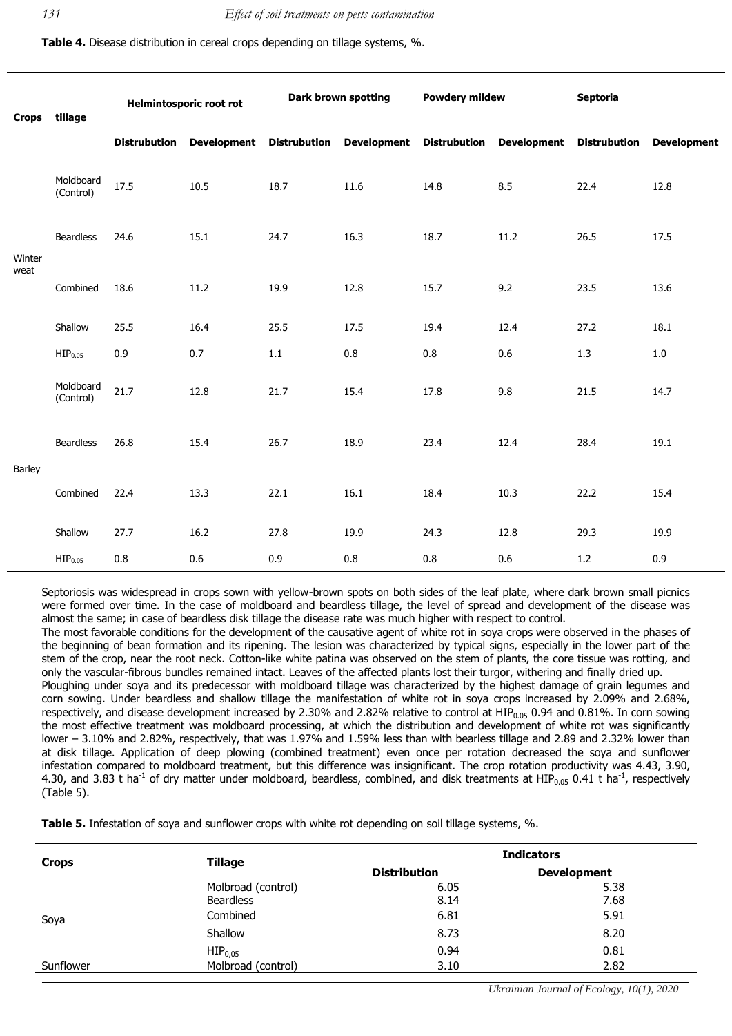**Table 4.** Disease distribution in cereal crops depending on tillage systems, %.

|                | Crops tillage          | <b>Helmintosporic root rot</b> |      | Dark brown spotting |                                                                            | <b>Powdery mildew</b> |      | <b>Septoria</b> |                    |
|----------------|------------------------|--------------------------------|------|---------------------|----------------------------------------------------------------------------|-----------------------|------|-----------------|--------------------|
|                |                        | <b>Distrubution</b>            |      |                     | Development Distrubution Development Distrubution Development Distrubution |                       |      |                 | <b>Development</b> |
| Winter<br>weat | Moldboard<br>(Control) | 17.5                           | 10.5 | 18.7                | 11.6                                                                       | 14.8                  | 8.5  | 22.4            | 12.8               |
|                | <b>Beardless</b>       | 24.6                           | 15.1 | 24.7                | 16.3                                                                       | 18.7                  | 11.2 | 26.5            | 17.5               |
|                | Combined               | 18.6                           | 11.2 | 19.9                | 12.8                                                                       | 15.7                  | 9.2  | 23.5            | 13.6               |
|                | Shallow                | 25.5                           | 16.4 | 25.5                | 17.5                                                                       | 19.4                  | 12.4 | 27.2            | 18.1               |
|                | HIP <sub>0,05</sub>    | 0.9                            | 0.7  | $1.1\,$             | 0.8                                                                        | 0.8                   | 0.6  | 1.3             | $1.0\,$            |
| <b>Barley</b>  | Moldboard<br>(Control) | 21.7                           | 12.8 | 21.7                | 15.4                                                                       | 17.8                  | 9.8  | 21.5            | 14.7               |
|                | <b>Beardless</b>       | 26.8                           | 15.4 | 26.7                | 18.9                                                                       | 23.4                  | 12.4 | 28.4            | 19.1               |
|                | Combined               | 22.4                           | 13.3 | 22.1                | 16.1                                                                       | 18.4                  | 10.3 | 22.2            | 15.4               |
|                | Shallow                | 27.7                           | 16.2 | 27.8                | 19.9                                                                       | 24.3                  | 12.8 | 29.3            | 19.9               |
|                | HIP <sub>0.05</sub>    | $0.8\,$                        | 0.6  | 0.9                 | 0.8                                                                        | $0.8\,$               | 0.6  | 1.2             | 0.9                |

Septoriosis was widespread in crops sown with yellow-brown spots on both sides of the leaf plate, where dark brown small picnics were formed over time. In the case of moldboard and beardless tillage, the level of spread and development of the disease was almost the same; in case of beardless disk tillage the disease rate was much higher with respect to control.

The most favorable conditions for the development of the causative agent of white rot in soya crops were observed in the phases of the beginning of bean formation and its ripening. The lesion was characterized by typical signs, especially in the lower part of the stem of the crop, near the root neck. Cotton-like white patina was observed on the stem of plants, the core tissue was rotting, and only the vascular-fibrous bundles remained intact. Leaves of the affected plants lost their turgor, withering and finally dried up.

Ploughing under soya and its predecessor with moldboard tillage was characterized by the highest damage of grain legumes and corn sowing. Under beardless and shallow tillage the manifestation of white rot in soya crops increased by 2.09% and 2.68%, respectively, and disease development increased by 2.30% and 2.82% relative to control at HIP<sub>0.05</sub> 0.94 and 0.81%. In corn sowing the most effective treatment was moldboard processing, at which the distribution and development of white rot was significantly lower – 3.10% and 2.82%, respectively, that was 1.97% and 1.59% less than with bearless tillage and 2.89 and 2.32% lower than at disk tillage. Application of deep plowing (combined treatment) even once per rotation decreased the soya and sunflower infestation compared to moldboard treatment, but this difference was insignificant. The crop rotation productivity was 4.43, 3.90, 4.30, and 3.83 t ha<sup>-1</sup> of dry matter under moldboard, beardless, combined, and disk treatments at HIP<sub>0.05</sub> 0.41 t ha<sup>-1</sup>, respectively (Table 5).

**Table 5.** Infestation of soya and sunflower crops with white rot depending on soil tillage systems, %.

| <b>Crops</b> | <b>Tillage</b>      | <b>Indicators</b>   |                    |  |  |
|--------------|---------------------|---------------------|--------------------|--|--|
|              |                     | <b>Distribution</b> | <b>Development</b> |  |  |
|              | Molbroad (control)  | 6.05                | 5.38               |  |  |
|              | <b>Beardless</b>    | 8.14                | 7.68               |  |  |
| Soya         | Combined            | 6.81                | 5.91               |  |  |
|              | Shallow             | 8.73                | 8.20               |  |  |
|              | HIP <sub>0.05</sub> | 0.94                | 0.81               |  |  |
| Sunflower    | Molbroad (control)  | 3.10                | 2.82               |  |  |
|              |                     |                     |                    |  |  |